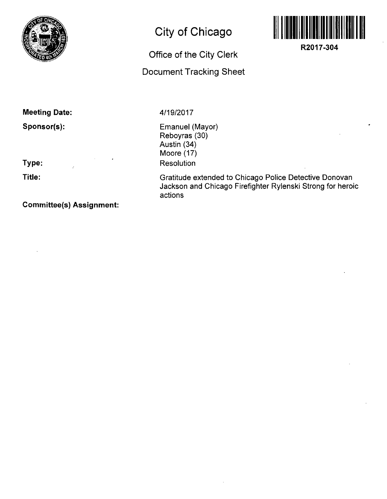

# **City of Chicago**

## **Office of the City Clerk**

## **Document Tracking Sheet**



**R2017-304** 

**Meeting Date:** 

**Sponsor(s):** 

**Type:** 

**Title:** 

4/19/2017

Emanuel (Mayor) Reboyras (30) Austin (34) Moore (17) Resolution

Gratitude extended to Chicago Police Detective Donovan Jackson and Chicago Firefighter Rylenski Strong for heroic actions

**Committee(s) Assignment:**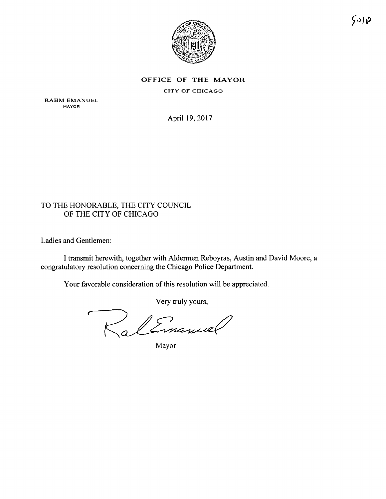

OFFICE OF THE MAYOR CITY OF CHICAGO

RAHM EMANUEL MAYOR

April 19,2017

#### TO THE HONORABLE, THE CITY COUNCIL OF THE CITY OF CHICAGO

Ladies and Gentlemen:

I transmit herewith, together with Aldermen Reboyras, Austin and David Moore, a congratulatory resolution conceming the Chicago Police Department.

Your favorable consideration of this resolution will be appreciated.

Very truly yours.

RalEmanuel

Mayor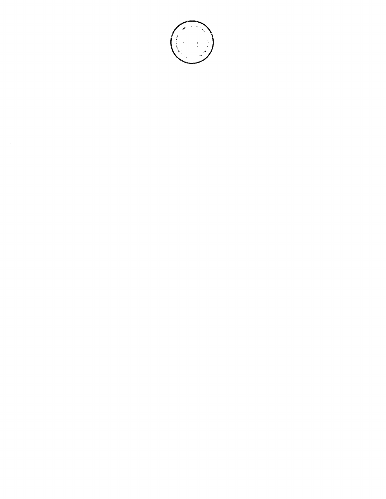

 $\mathcal{A}(\mathcal{A})$  and  $\mathcal{A}(\mathcal{A})$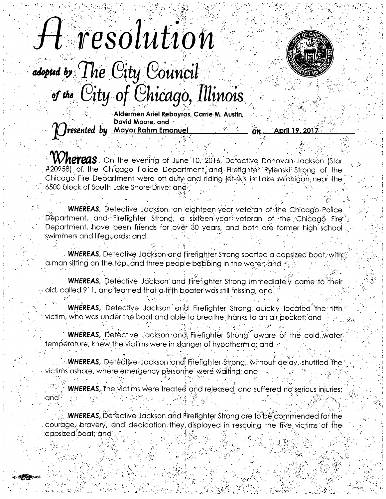# $4$  resolution



# adopted by The City Council of the City of Chicago, Illinois

Aldermen Ariel Reboyras, Carrie M. Austin, David Moore, and Wester Tresented by Mayor Rahm Emanuel

on <u>April 19, 2017</u>

Whereas, On the evening of June 10, 2016; Defective Donovan Jackson (Star #20958) of the Chicago Police Department and Firefighter Rylenski Strong of the Chicago Fire Department were off-duty and riding jet-skis in Lake Michigan near the 6500 block of South Lake Shore Drive; and

**WHEREAS**, Detective Jackson, an eighteen-year veteran of the Chicago Police Department, and Firefighter Strong, a sixteen-year veteran of the Chicago Fire Department, have been friends for over 30 years, and both are former high school swimmers and lifeguards; and

**WHEREAS**, Detective Jackson and Firefighter Strong spotted a capsized boat, with a man sitting on the top, and three people bobbing in the water; and  $\leq$ 

WHEREAS, Detective Jackson and Firefighter Strong immediately came to their aid, called 911, and learned that a fifth boater was still missing; and

**WHEREAS, Detective Jackson and Firefighter Strong quickly located the fifth** victim, who was under the boat and able to breathe thanks to an air pocket; and

**WHEREAS,** Detective Jackson and Firefighter Strong, aware of the cold water. temperature, knew the victims were in danger of hypothermia; and

**WHEREAS**, Detective Jackson and Firefighter Strong, without delay, shuttled the victims ashore, where emergency personnel were waiting; and

**WHEREAS.** The victims were treated and released; and suffered no serious injuries; and -

**WHEREAS, Defective Jackson and Firefighter Strong are to be commended for the** courage, bravery, and dedication they displayed in rescuing the five victims of the capsized boat, and